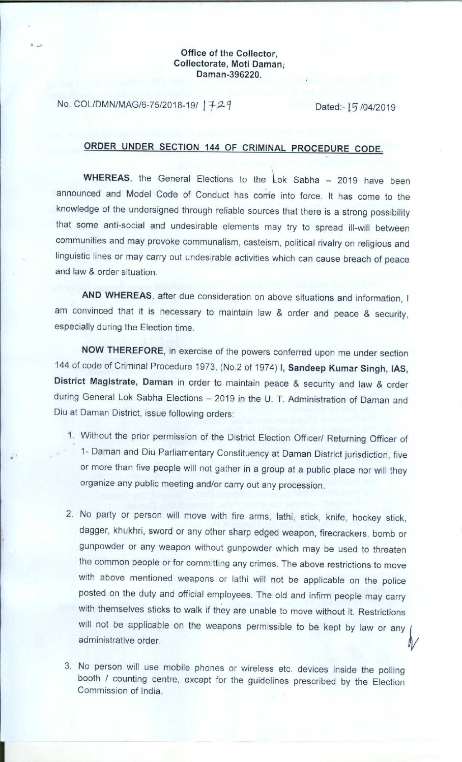## **Office of the Collector, Collectorate**, **Moti Daman, Daman** -**396220.**

No. COL/DMN/MAG/6-75/2018-19/ |  $729$  Dated:- | 5 /04/2019

## **ORDER UNDER SECTION 144 OF CRIMINAL PROCEDURE CODE.**

WHEREAS, the General Elections to the Lok Sabha - 2019 have been announced and Model Code of Conduct has come into force. It has come to the knowledge of the undersigned through reliable sources that there is a strong possibility that some anti-social and undesirable elements may try to spread ill-will between communities and may provoke communalism, casteism, political rivalry on religious and linguistic lines or may carry out undesirable activities which can cause breach of peace and law & order situation.

AND WHEREAS, after due consideration on above situations and information, I am convinced that it is necessary to maintain law & order and peace & security, especially during the Election time.

NOW THEREFORE, in exercise of the powers conferred upon me under section 144 of code of Criminal Procedure 1973, (No.2 of 1974) **I, Sandeep Kumar Singh, IAS,** District Magistrate, Daman in order to maintain peace & security and law & order during General Lok Sabha Elections - 2019 in the U. T. Administration of Daman and Diu at Daman District, issue following orders:

- 1. Without the prior permission of the District Election Officer/ Returning Officer of 1- Daman and Diu Parliamentary Constituency at Daman District jurisdiction, five or more than five people will not gather in a group at a public place nor will they organize any public meeting and/or carry out any procession.
- 2. No party or person will move with fire arms, lathi, stick, knife, hockey stick, dagger, khukhri, sword or any other sharp edged weapon, firecrackers, bomb or gunpowder or any weapon without gunpowder which may be used to threaten the common people or for committing any crimes. The above restrictions to move with above mentioned weapons or lathi will not be applicable on the police posted on the duty and official employees. The old and infirm people may carry with themselves sticks to walk if they are unable to move without it. Restrictions will not be applicable on the weapons permissible to be kept by law or any administrative order.
- 3. No person will use mobile phones or wireless etc. devices inside the polling booth / counting centre, except for the guidelines prescribed by the Election Commission of India.